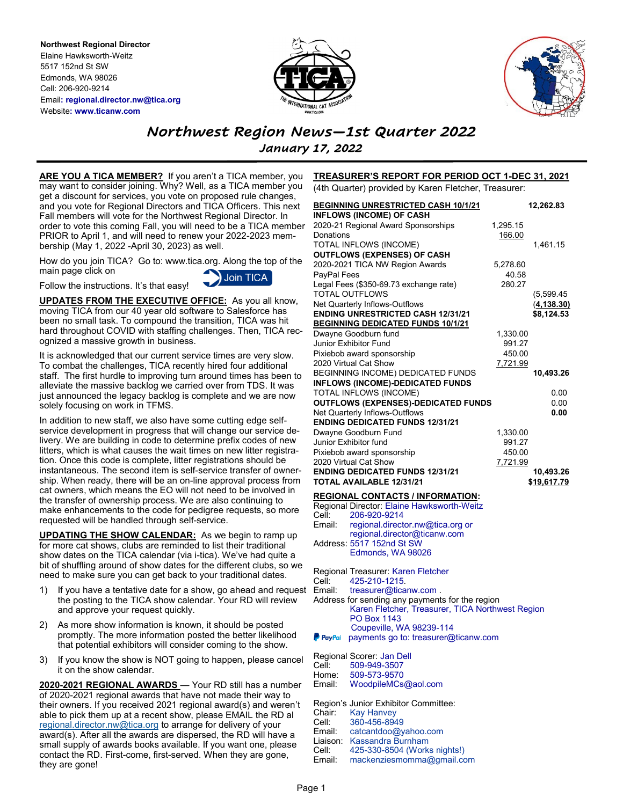**Northwest Regional Director** Elaine Hawksworth-Weitz 5517 152nd St SW Edmonds, WA 98026 Cell: 206-920-9214 Email**: regional.director.nw@tica.org** Website**: www.ticanw.com**





# *Northwest Region News—1st Quarter 2022*

*January 17, 2022*

**ARE YOU A TICA MEMBER?** If you aren't a TICA member, you may want to consider joining. Why? Well, as a TICA member you get a discount for services, you vote on proposed rule changes, and you vote for Regional Directors and TICA Officers. This next Fall members will vote for the Northwest Regional Director. In order to vote this coming Fall, you will need to be a TICA memb PRIOR to April 1, and will need to renew your 2022-2023 membership (May 1, 2022 -April 30, 2023) as well.

How do you join TICA? Go to: www.tica.org. Along the top of the main page click on Join TICA

Follow the instructions. It's that easy!

**UPDATES FROM THE EXECUTIVE OFFICE:** As you all know, moving TICA from our 40 year old software to Salesforce has been no small task. To compound the transition, TICA was hit hard throughout COVID with staffing challenges. Then, TICA re ognized a massive growth in business.

It is acknowledged that our current service times are very slow. To combat the challenges, TICA recently hired four additional staff. The first hurdle to improving turn around times has been alleviate the massive backlog we carried over from TDS. It was just announced the legacy backlog is complete and we are now solely focusing on work in TFMS.

In addition to new staff, we also have some cutting edge selfservice development in progress that will change our service de livery. We are building in code to determine prefix codes of new litters, which is what causes the wait times on new litter registration. Once this code is complete, litter registrations should be instantaneous. The second item is self-service transfer of owne ship. When ready, there will be an on-line approval process fror cat owners, which means the EO will not need to be involved in the transfer of ownership process. We are also continuing to make enhancements to the code for pedigree requests, so more requested will be handled through self-service.

**UPDATING THE SHOW CALENDAR:** As we begin to ramp up for more cat shows, clubs are reminded to list their traditional show dates on the TICA calendar (via i-tica). We've had quite a bit of shuffling around of show dates for the different clubs, so w need to make sure you can get back to your traditional dates.

- 1) If you have a tentative date for a show, go ahead and reque the posting to the TICA show calendar. Your RD will review and approve your request quickly.
- 2) As more show information is known, it should be posted promptly. The more information posted the better likelihood that potential exhibitors will consider coming to the show.
- 3) If you know the show is NOT going to happen, please canc it on the show calendar.

**2020-2021 REGIONAL AWARDS** — Your RD still has a number of 2020-2021 regional awards that have not made their way to their owners. If you received 2021 regional award(s) and weren able to pick them up at a recent show, please EMAIL the RD al [regional.director.nw@tica.org](mailto:regional.director.nw@tica.org) to arrange for delivery of your award(s). After all the awards are dispersed, the RD will have a small supply of awards books available. If you want one, please contact the RD. First-come, first-served. When they are gone, they are gone!

## **TREASURER'S REPORT FOR PERIOD OCT 1-DEC 31, 2021**

(4th Quarter) provided by Karen Fletcher, Treasurer:

| xt  |                 | <b>BEGINNING UNRESTRICTED CASH 10/1/21</b><br><b>INFLOWS (INCOME) OF CASH</b> |          | 12,262.83   |
|-----|-----------------|-------------------------------------------------------------------------------|----------|-------------|
| er  |                 | 2020-21 Regional Award Sponsorships                                           | 1,295.15 |             |
|     | Donations       |                                                                               | 166.00   |             |
|     |                 | TOTAL INFLOWS (INCOME)                                                        |          | 1,461.15    |
|     |                 | <b>OUTFLOWS (EXPENSES) OF CASH</b>                                            |          |             |
| ٦e  |                 |                                                                               |          |             |
|     |                 | 2020-2021 TICA NW Region Awards                                               | 5,278.60 |             |
|     | PayPal Fees     |                                                                               | 40.58    |             |
|     |                 | Legal Fees (\$350-69.73 exchange rate)                                        | 280.27   |             |
|     |                 | <b>TOTAL OUTFLOWS</b>                                                         |          | (5,599.45   |
| Ι,  |                 | Net Quarterly Inflows-Outflows                                                |          | (4, 138.30) |
|     |                 | <b>ENDING UNRESTRICTED CASH 12/31/21</b>                                      |          | \$8,124.53  |
|     |                 | <b>BEGINNING DEDICATED FUNDS 10/1/21</b>                                      |          |             |
| .C- |                 |                                                                               |          |             |
|     |                 | Dwayne Goodburn fund                                                          | 1,330.00 |             |
|     |                 | Junior Exhibitor Fund                                                         | 991.27   |             |
|     |                 | Pixiebob award sponsorship                                                    | 450.00   |             |
|     |                 | 2020 Virtual Cat Show                                                         | 7,721.99 |             |
| to  |                 | BEGINNING INCOME) DEDICATED FUNDS                                             |          | 10,493.26   |
|     |                 | <b>INFLOWS (INCOME)-DEDICATED FUNDS</b>                                       |          |             |
|     |                 | TOTAL INFLOWS (INCOME)                                                        |          | 0.00        |
| I   |                 |                                                                               |          |             |
|     |                 | <b>OUTFLOWS (EXPENSES)-DEDICATED FUNDS</b>                                    |          | 0.00        |
|     |                 | Net Quarterly Inflows-Outflows                                                |          | 0.00        |
|     |                 | <b>ENDING DEDICATED FUNDS 12/31/21</b>                                        |          |             |
| €.  |                 | Dwayne Goodburn Fund                                                          | 1,330.00 |             |
| ı   |                 | Junior Exhibitor fund                                                         | 991.27   |             |
| ì-  |                 | Pixiebob award sponsorship                                                    | 450.00   |             |
|     |                 | 2020 Virtual Cat Show                                                         | 7,721.99 |             |
|     |                 | <b>ENDING DEDICATED FUNDS 12/31/21</b>                                        |          |             |
| ۱r– |                 |                                                                               |          | 10,493.26   |
| m   |                 | <b>TOTAL AVAILABLE 12/31/21</b>                                               |          | \$19,617.79 |
|     |                 | <b>REGIONAL CONTACTS / INFORMATION:</b>                                       |          |             |
|     |                 | Regional Director: Elaine Hawksworth-Weitz                                    |          |             |
| е   | Cell:           | 206-920-9214                                                                  |          |             |
|     | Email:          |                                                                               |          |             |
|     |                 | regional.director.nw@tica.org or                                              |          |             |
| C   |                 | regional.director@ticanw.com                                                  |          |             |
|     |                 | Address: 5517 152nd St SW                                                     |          |             |
|     |                 | Edmonds, WA 98026                                                             |          |             |
| ve  |                 |                                                                               |          |             |
|     |                 | Regional Treasurer: Karen Fletcher                                            |          |             |
|     | Cell:           | 425-210-1215.                                                                 |          |             |
| est | Email:          | treasurer@ticanw.com.                                                         |          |             |
| V   |                 | Address for sending any payments for the region                               |          |             |
|     |                 | Karen Fletcher, Treasurer, TICA Northwest Region                              |          |             |
|     |                 | <b>PO Box 1143</b>                                                            |          |             |
|     |                 |                                                                               |          |             |
| l   |                 | Coupeville, WA 98239-114                                                      |          |             |
|     | <b>P</b> PayPal | payments go to: treasurer@ticanw.com                                          |          |             |
|     |                 |                                                                               |          |             |
| :el |                 | Regional Scorer: Jan Dell                                                     |          |             |
|     | Cell:           | 509-949-3507                                                                  |          |             |
|     | Home:           | 509-573-9570                                                                  |          |             |
| er  | Email:          | WoodpileMCs@aol.com                                                           |          |             |
|     |                 |                                                                               |          |             |
| ľt  |                 | Region's Junior Exhibitor Committee:                                          |          |             |
|     | Chair:          | <b>Kay Hanvey</b>                                                             |          |             |
|     | Cell:           | 360-456-8949                                                                  |          |             |
|     |                 |                                                                               |          |             |
|     | Email:          | catcantdoo@yahoo.com<br>Liaison: Kassandra Burnham                            |          |             |
|     |                 |                                                                               |          |             |

Cell: 425-330-8504 (Works nights!)

mackenziesmomma@gmail.com